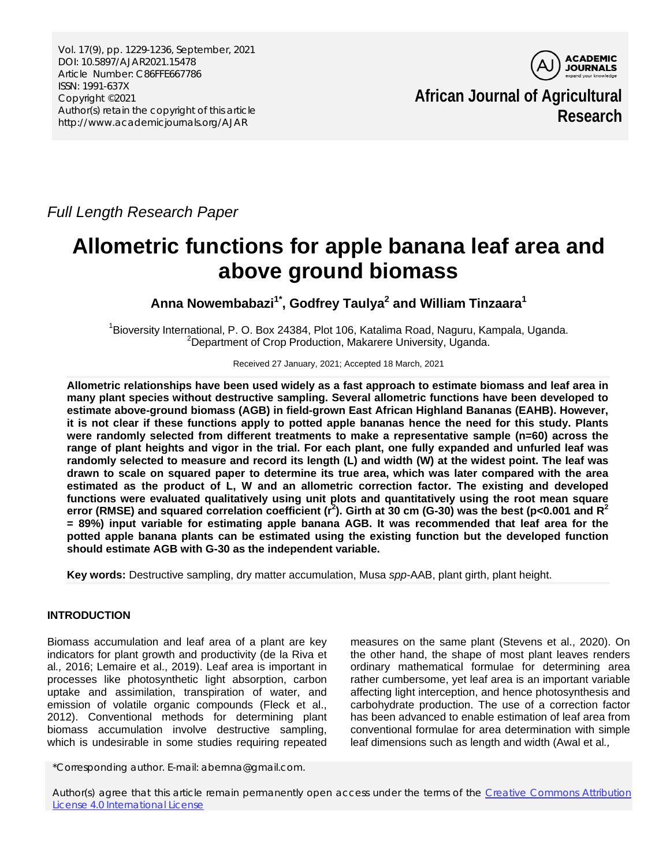Vol. 17(9), pp. 1229-1236, September, 2021 DOI: 10.5897/AJAR2021.15478 Article Number: C86FFE667786 ISSN: 1991-637X Copyright ©2021 Author(s) retain the copyright of this article http://www.academicjournals.org/AJAR



**African Journal of Agricultural Research**

*Full Length Research Paper*

# **Allometric functions for apple banana leaf area and above ground biomass**

**Anna Nowembabazi1\* , Godfrey Taulya2 and William Tinzaara1**

<sup>1</sup> Bioversity International, P. O. Box 24384, Plot 106, Katalima Road, Naguru, Kampala, Uganda.<br><sup>2</sup> Department of Crop Breduction, Makerera University, Uganda. <sup>2</sup>Department of Crop Production, Makarere University, Uganda.

Received 27 January, 2021; Accepted 18 March, 2021

**Allometric relationships have been used widely as a fast approach to estimate biomass and leaf area in many plant species without destructive sampling. Several allometric functions have been developed to estimate above-ground biomass (AGB) in field-grown East African Highland Bananas (EAHB). However, it is not clear if these functions apply to potted apple bananas hence the need for this study. Plants were randomly selected from different treatments to make a representative sample (n=60) across the range of plant heights and vigor in the trial. For each plant, one fully expanded and unfurled leaf was randomly selected to measure and record its length (L) and width (W) at the widest point. The leaf was drawn to scale on squared paper to determine its true area, which was later compared with the area estimated as the product of L, W and an allometric correction factor. The existing and developed functions were evaluated qualitatively using unit plots and quantitatively using the root mean square error (RMSE) and squared correlation coefficient (r<sup>2</sup> ). Girth at 30 cm (G-30) was the best (p<0.001 and R<sup>2</sup> = 89%) input variable for estimating apple banana AGB. It was recommended that leaf area for the potted apple banana plants can be estimated using the existing function but the developed function should estimate AGB with G-30 as the independent variable.**

**Key words:** Destructive sampling, dry matter accumulation, Musa *spp*-AAB, plant girth, plant height.

# **INTRODUCTION**

Biomass accumulation and leaf area of a plant are key indicators for plant growth and productivity (de la Riva et al*.,* 2016; Lemaire et al., 2019). Leaf area is important in processes like photosynthetic light absorption, carbon uptake and assimilation, transpiration of water, and emission of volatile organic compounds (Fleck et al., 2012). Conventional methods for determining plant biomass accumulation involve destructive sampling, which is undesirable in some studies requiring repeated

\*Corresponding author. E-mail: abernna@gmail.com.

measures on the same plant (Stevens et al., 2020). On the other hand, the shape of most plant leaves renders ordinary mathematical formulae for determining area rather cumbersome, yet leaf area is an important variable affecting light interception, and hence photosynthesis and carbohydrate production. The use of a correction factor has been advanced to enable estimation of leaf area from conventional formulae for area determination with simple leaf dimensions such as length and width (Awal et al*.,* 

Author(s) agree that this article remain permanently open access under the terms of the Creative Commons Attribution [License 4.0 International License](http://creativecommons.org/licenses/by/4.0/deed.en_US)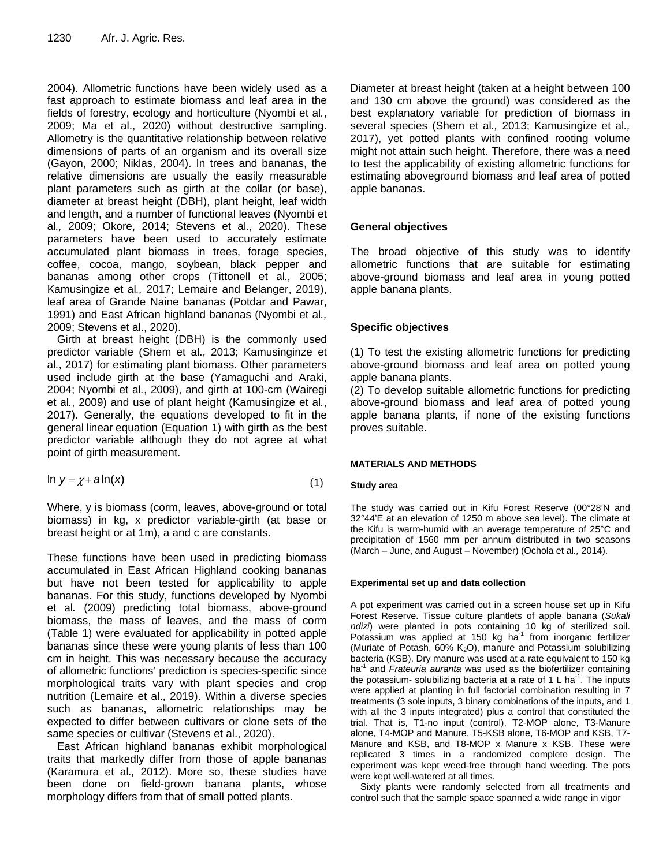2004). Allometric functions have been widely used as a fast approach to estimate biomass and leaf area in the fields of forestry, ecology and horticulture (Nyombi et al*.*, 2009; Ma et al., 2020) without destructive sampling. Allometry is the quantitative relationship between relative dimensions of parts of an organism and its overall size (Gayon, 2000; Niklas, 2004). In trees and bananas, the relative dimensions are usually the easily measurable plant parameters such as girth at the collar (or base), diameter at breast height (DBH), plant height, leaf width and length, and a number of functional leaves (Nyombi et al*.,* 2009; Okore, 2014; Stevens et al., 2020). These parameters have been used to accurately estimate accumulated plant biomass in trees, forage species, coffee, cocoa, mango, soybean, black pepper and bananas among other crops (Tittonell et al*.,* 2005; Kamusingize et al*.,* 2017; Lemaire and Belanger, 2019), leaf area of Grande Naine bananas (Potdar and Pawar, 1991) and East African highland bananas (Nyombi et al*.,*  2009; Stevens et al., 2020).

Girth at breast height (DBH) is the commonly used predictor variable (Shem et al., 2013; Kamusinginze et al*.*, 2017) for estimating plant biomass. Other parameters used include girth at the base (Yamaguchi and Araki, 2004; Nyombi et al*.*, 2009), and girth at 100-cm (Wairegi et al*.*, 2009) and use of plant height (Kamusingize et al*.*, 2017). Generally, the equations developed to fit in the general linear equation (Equation 1) with girth as the best predictor variable although they do not agree at what point of girth measurement.

$$
\ln y = \chi + a \ln(x) \tag{1}
$$

Where, y is biomass (corm, leaves, above-ground or total biomass) in kg, x predictor variable-girth (at base or breast height or at 1m), a and c are constants.

These functions have been used in predicting biomass accumulated in East African Highland cooking bananas but have not been tested for applicability to apple bananas. For this study, functions developed by Nyombi et al*.* (2009) predicting total biomass, above-ground biomass, the mass of leaves, and the mass of corm (Table 1) were evaluated for applicability in potted apple bananas since these were young plants of less than 100 cm in height. This was necessary because the accuracy of allometric functions' prediction is species-specific since morphological traits vary with plant species and crop nutrition (Lemaire et al., 2019). Within a diverse species such as bananas, allometric relationships may be expected to differ between cultivars or clone sets of the same species or cultivar (Stevens et al., 2020).

East African highland bananas exhibit morphological traits that markedly differ from those of apple bananas (Karamura et al*.,* 2012). More so, these studies have been done on field-grown banana plants, whose morphology differs from that of small potted plants.

Diameter at breast height (taken at a height between 100 and 130 cm above the ground) was considered as the best explanatory variable for prediction of biomass in several species (Shem et al*.,* 2013; Kamusingize et al*.,*  2017), yet potted plants with confined rooting volume might not attain such height. Therefore, there was a need to test the applicability of existing allometric functions for estimating aboveground biomass and leaf area of potted apple bananas.

# **General objectives**

The broad objective of this study was to identify allometric functions that are suitable for estimating above-ground biomass and leaf area in young potted apple banana plants.

# **Specific objectives**

(1) To test the existing allometric functions for predicting above-ground biomass and leaf area on potted young apple banana plants.

(2) To develop suitable allometric functions for predicting above-ground biomass and leaf area of potted young apple banana plants, if none of the existing functions proves suitable.

# **MATERIALS AND METHODS**

## **Study area**

The study was carried out in Kifu Forest Reserve (00°28'N and 32°44'E at an elevation of 1250 m above sea level). The climate at the Kifu is warm-humid with an average temperature of 25°C and precipitation of 1560 mm per annum distributed in two seasons (March – June, and August – November) (Ochola et al*.,* 2014).

## **Experimental set up and data collection**

A pot experiment was carried out in a screen house set up in Kifu Forest Reserve. Tissue culture plantlets of apple banana (*Sukali ndizi*) were planted in pots containing 10 kg of sterilized soil. Potassium was applied at 150 kg ha<sup>-1</sup> from inorganic fertilizer (Muriate of Potash,  $60\%$  K<sub>2</sub>O), manure and Potassium solubilizing bacteria (KSB). Dry manure was used at a rate equivalent to 150 kg ha-1 and *Frateuria auranta* was used as the biofertilizer containing the potassium- solubilizing bacteria at a rate of 1 L ha<sup>-1</sup>. The inputs were applied at planting in full factorial combination resulting in 7 treatments (3 sole inputs, 3 binary combinations of the inputs, and 1 with all the 3 inputs integrated) plus a control that constituted the trial. That is, T1-no input (control), T2-MOP alone, T3-Manure alone, T4-MOP and Manure, T5-KSB alone, T6-MOP and KSB, T7- Manure and KSB, and T8-MOP x Manure x KSB. These were replicated 3 times in a randomized complete design. The experiment was kept weed-free through hand weeding. The pots were kept well-watered at all times.

Sixty plants were randomly selected from all treatments and control such that the sample space spanned a wide range in vigor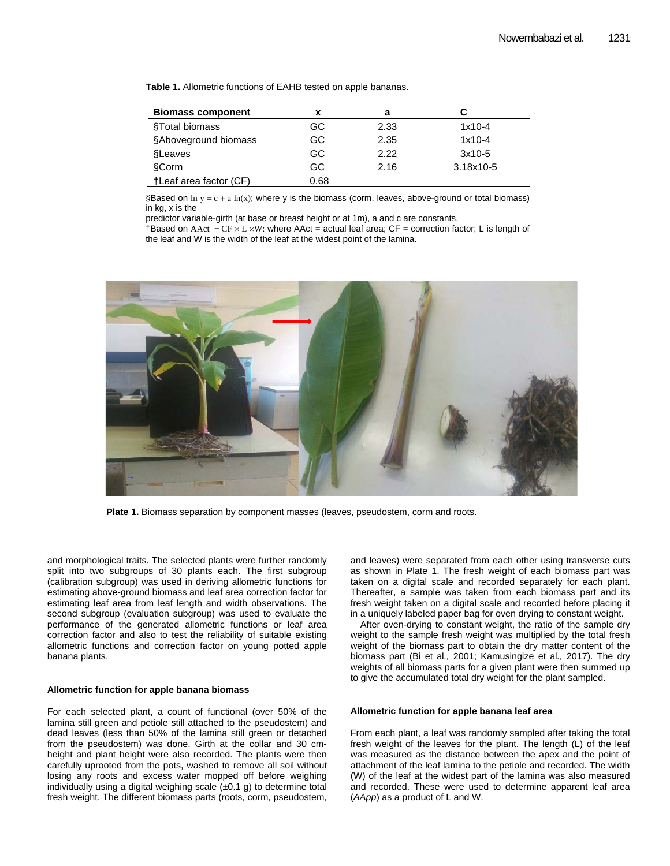**Table 1.** Allometric functions of EAHB tested on apple bananas.

| <b>Biomass component</b> |      | а    |           |
|--------------------------|------|------|-----------|
| §Total biomass           | GC.  | 2.33 | $1x10-4$  |
| §Aboveground biomass     | GC.  | 2.35 | $1x10-4$  |
| <b>SLeaves</b>           | GC.  | 2.22 | $3x10-5$  |
| <b>§Corm</b>             | GC.  | 2.16 | 3.18x10-5 |
| †Leaf area factor (CF)   | 0.68 |      |           |

§Based on  $\ln y = c + a \ln(x)$ ; where y is the biomass (corm, leaves, above-ground or total biomass) in kg, x is the

predictor variable-girth (at base or breast height or at 1m), a and c are constants.

 $\dagger$ Based on AAct = CF × L × W: where AAct = actual leaf area; CF = correction factor; L is length of the leaf and W is the width of the leaf at the widest point of the lamina.



**Plate 1.** Biomass separation by component masses (leaves, pseudostem, corm and roots.

and morphological traits. The selected plants were further randomly split into two subgroups of 30 plants each. The first subgroup (calibration subgroup) was used in deriving allometric functions for estimating above-ground biomass and leaf area correction factor for estimating leaf area from leaf length and width observations. The second subgroup (evaluation subgroup) was used to evaluate the performance of the generated allometric functions or leaf area correction factor and also to test the reliability of suitable existing allometric functions and correction factor on young potted apple banana plants.

#### **Allometric function for apple banana biomass**

For each selected plant, a count of functional (over 50% of the lamina still green and petiole still attached to the pseudostem) and dead leaves (less than 50% of the lamina still green or detached from the pseudostem) was done. Girth at the collar and 30 cmheight and plant height were also recorded. The plants were then carefully uprooted from the pots, washed to remove all soil without losing any roots and excess water mopped off before weighing individually using a digital weighing scale  $(\pm 0.1$  g) to determine total fresh weight. The different biomass parts (roots, corm, pseudostem,

and leaves) were separated from each other using transverse cuts as shown in Plate 1. The fresh weight of each biomass part was taken on a digital scale and recorded separately for each plant. Thereafter, a sample was taken from each biomass part and its fresh weight taken on a digital scale and recorded before placing it in a uniquely labeled paper bag for oven drying to constant weight.

After oven-drying to constant weight, the ratio of the sample dry weight to the sample fresh weight was multiplied by the total fresh weight of the biomass part to obtain the dry matter content of the biomass part (Bi et al*.,* 2001; Kamusingize et al*.,* 2017). The dry weights of all biomass parts for a given plant were then summed up to give the accumulated total dry weight for the plant sampled.

#### **Allometric function for apple banana leaf area**

From each plant, a leaf was randomly sampled after taking the total fresh weight of the leaves for the plant. The length (L) of the leaf was measured as the distance between the apex and the point of attachment of the leaf lamina to the petiole and recorded. The width (W) of the leaf at the widest part of the lamina was also measured and recorded. These were used to determine apparent leaf area (*AApp*) as a product of L and W.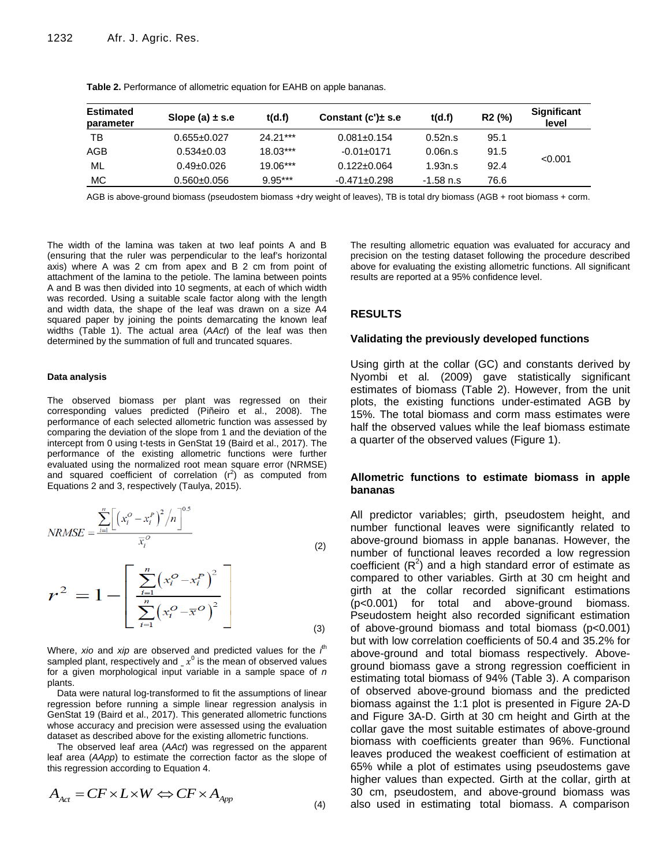| <b>Estimated</b><br>parameter | Slope (a) $\pm$ s.e | t(d.f)     | Constant $(c')\pm s.e$ | t(d.f)    | R <sub>2</sub> (%) | <b>Significant</b><br>level |
|-------------------------------|---------------------|------------|------------------------|-----------|--------------------|-----------------------------|
| TB                            | $0.655 \pm 0.027$   | $24.21***$ | $0.081 \pm 0.154$      | 0.52n.s   | 95.1               |                             |
| AGB                           | $0.534 \pm 0.03$    | $18.03***$ | $-0.01 \pm 0171$       | 0.06n.s   | 91.5               |                             |
| ML                            | $0.49 \pm 0.026$    | 19.06***   | $0.122 \pm 0.064$      | 1.93n.s   | 92.4               | < 0.001                     |
| МC                            | $0.560 \pm 0.056$   | $9.95***$  | $-0.471 \pm 0.298$     | -1.58 n.s | 76.6               |                             |

**Table 2.** Performance of allometric equation for EAHB on apple bananas.

AGB is above-ground biomass (pseudostem biomass +dry weight of leaves), TB is total dry biomass (AGB + root biomass + corm.

The width of the lamina was taken at two leaf points A and B (ensuring that the ruler was perpendicular to the leaf's horizontal axis) where A was 2 cm from apex and B 2 cm from point of attachment of the lamina to the petiole. The lamina between points A and B was then divided into 10 segments, at each of which width was recorded. Using a suitable scale factor along with the length and width data, the shape of the leaf was drawn on a size A4 squared paper by joining the points demarcating the known leaf widths (Table 1). The actual area (*AAct*) of the leaf was then determined by the summation of full and truncated squares.

#### **Data analysis**

The observed biomass per plant was regressed on their corresponding values predicted (Piñeiro et al., 2008). The performance of each selected allometric function was assessed by comparing the deviation of the slope from 1 and the deviation of the intercept from 0 using t-tests in GenStat 19 (Baird et al., 2017). The performance of the existing allometric functions were further evaluated using the normalized root mean square error (NRMSE) and squared coefficient of correlation  $(r^2)$  as computed from Equations 2 and 3, respectively (Taulya, 2015).

$$
NRMSE = \frac{\sum_{i=1}^{n} \left[ \left( x_i^O - x_i^P \right)^2 / n \right]^{0.5}}{\overline{x}_i^O}
$$
\n(2)

$$
r^{2} = 1 - \left[ \frac{\sum_{i=1}^{n} (x_{i}^{O} - x_{i}^{P})^{2}}{\sum_{i=1}^{n} (x_{i}^{O} - \overline{x}^{O})^{2}} \right]
$$
(3)

Where, *xio* and *xip* are observed and predicted values for the *i*<sup>th</sup> sampled plant, respectively and  $x^0$  is the mean of observed values for a given morphological input variable in a sample space of *n*  plants.

Data were natural log-transformed to fit the assumptions of linear regression before running a simple linear regression analysis in GenStat 19 (Baird et al., 2017). This generated allometric functions whose accuracy and precision were assessed using the evaluation dataset as described above for the existing allometric functions.

The observed leaf area (*AAct*) was regressed on the apparent leaf area (*AApp*) to estimate the correction factor as the slope of this regression according to Equation 4. this regression according to Equation 4.

$$
A_{\text{Act}} = CF \times L \times W \Longleftrightarrow CF \times A_{\text{App}} \tag{4}
$$

The resulting allometric equation was evaluated for accuracy and precision on the testing dataset following the procedure described above for evaluating the existing allometric functions. All significant results are reported at a 95% confidence level.

## **RESULTS**

### **Validating the previously developed functions**

Using girth at the collar (GC) and constants derived by Nyombi et al*.* (2009) gave statistically significant estimates of biomass (Table 2). However, from the unit plots, the existing functions under-estimated AGB by 15%. The total biomass and corm mass estimates were half the observed values while the leaf biomass estimate a quarter of the observed values (Figure 1).

## **Allometric functions to estimate biomass in apple bananas**

All predictor variables; girth, pseudostem height, and number functional leaves were significantly related to above-ground biomass in apple bananas. However, the number of functional leaves recorded a low regression coefficient  $(R^2)$  and a high standard error of estimate as compared to other variables. Girth at 30 cm height and girth at the collar recorded significant estimations (p<0.001) for total and above-ground biomass. Pseudostem height also recorded significant estimation of above-ground biomass and total biomass (p<0.001) but with low correlation coefficients of 50.4 and 35.2% for above-ground and total biomass respectively. Aboveground biomass gave a strong regression coefficient in estimating total biomass of 94% (Table 3). A comparison of observed above-ground biomass and the predicted biomass against the 1:1 plot is presented in Figure 2A-D and Figure 3A-D. Girth at 30 cm height and Girth at the collar gave the most suitable estimates of above-ground biomass with coefficients greater than 96%. Functional leaves produced the weakest coefficient of estimation at 65% while a plot of estimates using pseudostems gave higher values than expected. Girth at the collar, girth at 30 cm, pseudostem, and above-ground biomass was also used in estimating total biomass. A comparison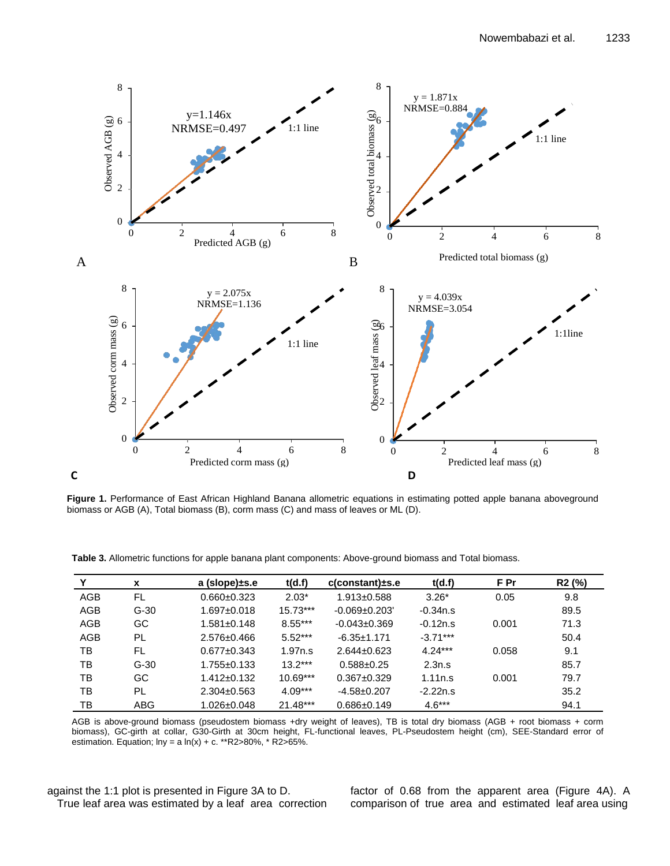

**Figure 1.** Performance of East African Highland Banana allometric equations in estimating potted apple banana aboveground biomass or AGB (A), Total biomass (B), corm mass (C) and mass of leaves or ML (D).

**Table 3.** Allometric functions for apple banana plant components: Above-ground biomass and Total biomass.

| Y          | x          | a (slope)±s.e     | t(d.f)     | $c$ (constant) $\pm$ s.e | t(d.f)     | F Pr  | R <sub>2</sub> (%) |
|------------|------------|-------------------|------------|--------------------------|------------|-------|--------------------|
| <b>AGB</b> | FL         | $0.660 \pm 0.323$ | $2.03*$    | $1.913 \pm 0.588$        | $3.26*$    | 0.05  | 9.8                |
| AGB        | $G-30$     | $1.697 \pm 0.018$ | $15.73***$ | $-0.069 + 0.203$         | $-0.34n.s$ |       | 89.5               |
| AGB        | GC         | $1.581 \pm 0.148$ | $8.55***$  | $-0.043 \pm 0.369$       | $-0.12n.s$ | 0.001 | 71.3               |
| AGB        | PL         | $2.576 \pm 0.466$ | $5.52***$  | $-6.35 \pm 1.171$        | $-3.71***$ |       | 50.4               |
| тв         | FL         | $0.677 \pm 0.343$ | 1.97n.s    | $2.644 \pm 0.623$        | $4.24***$  | 0.058 | 9.1                |
| ТB         | $G-30$     | $1.755 \pm 0.133$ | $13.2***$  | $0.588 \pm 0.25$         | 2.3n.s     |       | 85.7               |
| тв         | GC         | $1.412 \pm 0.132$ | $10.69***$ | $0.367 \pm 0.329$        | 1.11n.s    | 0.001 | 79.7               |
| TB         | PL         | $2.304 \pm 0.563$ | $4.09***$  | $-4.58+0.207$            | $-2.22n.s$ |       | 35.2               |
| тв         | <b>ABG</b> | $1.026 \pm 0.048$ | $21.48***$ | $0.686 \pm 0.149$        | $4.6***$   |       | 94.1               |

AGB is above-ground biomass (pseudostem biomass +dry weight of leaves), TB is total dry biomass (AGB + root biomass + corm biomass), GC-girth at collar, G30-Girth at 30cm height, FL-functional leaves, PL-Pseudostem height (cm), SEE-Standard error of estimation. Equation;  $ln y = a ln(x) + c.$  \*\*R2>80%, \* R2>65%.

against the 1:1 plot is presented in Figure 3A to D. True leaf area was estimated by a leaf area correction factor of 0.68 from the apparent area (Figure 4A). A comparison of true area and estimated leaf area using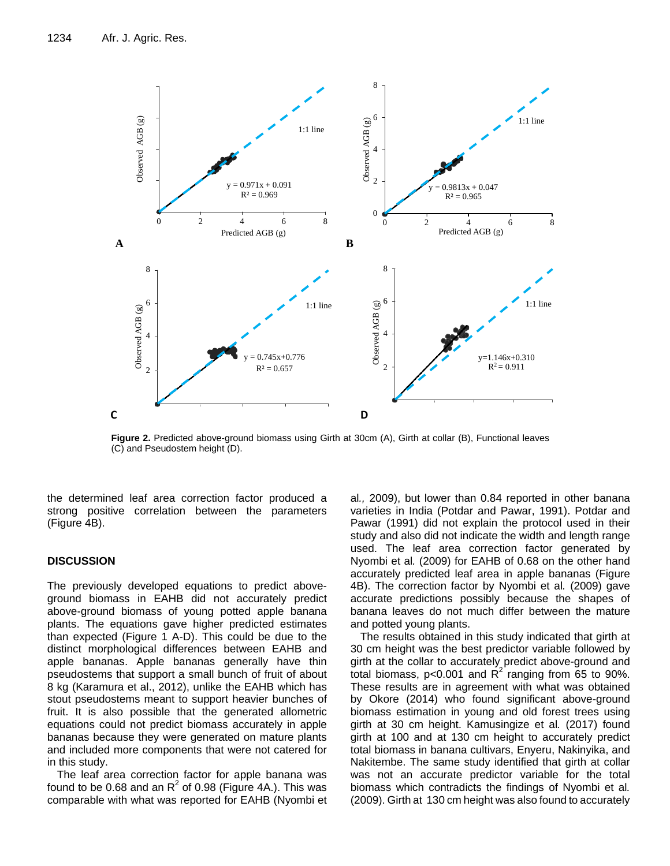

**Figure 2.** Predicted above-ground biomass using Girth at 30cm (A), Girth at collar (B), Functional leaves (C) and Pseudostem height (D).

the determined leaf area correction factor produced a strong positive correlation between the parameters (Figure 4B).

## **DISCUSSION**

The previously developed equations to predict aboveground biomass in EAHB did not accurately predict above-ground biomass of young potted apple banana plants. The equations gave higher predicted estimates than expected (Figure 1 A-D). This could be due to the distinct morphological differences between EAHB and apple bananas. Apple bananas generally have thin pseudostems that support a small bunch of fruit of about 8 kg (Karamura et al., 2012), unlike the EAHB which has stout pseudostems meant to support heavier bunches of fruit. It is also possible that the generated allometric equations could not predict biomass accurately in apple bananas because they were generated on mature plants and included more components that were not catered for in this study.

The leaf area correction factor for apple banana was found to be 0.68 and an  $R^2$  of 0.98 (Figure 4A.). This was comparable with what was reported for EAHB (Nyombi et al*.,* 2009), but lower than 0.84 reported in other banana varieties in India (Potdar and Pawar, 1991). Potdar and Pawar (1991) did not explain the protocol used in their study and also did not indicate the width and length range used. The leaf area correction factor generated by Nyombi et al*.* (2009) for EAHB of 0.68 on the other hand accurately predicted leaf area in apple bananas (Figure 4B). The correction factor by Nyombi et al*.* (2009) gave accurate predictions possibly because the shapes of banana leaves do not much differ between the mature and potted young plants.

The results obtained in this study indicated that girth at 30 cm height was the best predictor variable followed by girth at the collar to accurately predict above-ground and total biomass,  $p < 0.001$  and  $R^2$  ranging from 65 to 90%. These results are in agreement with what was obtained by Okore (2014) who found significant above-ground biomass estimation in young and old forest trees using girth at 30 cm height. Kamusingize et al*.* (2017) found girth at 100 and at 130 cm height to accurately predict total biomass in banana cultivars, Enyeru, Nakinyika, and Nakitembe. The same study identified that girth at collar was not an accurate predictor variable for the total biomass which contradicts the findings of Nyombi et al*.*  (2009). Girth at 130 cm height was also found to accurately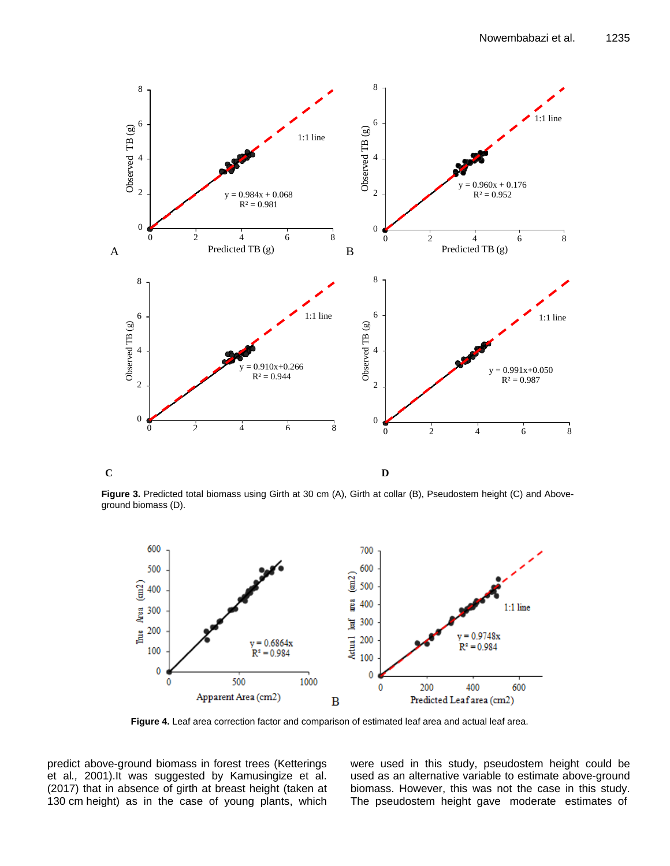

 $\overline{C}$ **C D** 

**Figure 3.** Predicted total biomass using Girth at 30 cm (A), Girth at collar (B), Pseudostem height (C) and Aboveground biomass (D).



**Figure 4.** Leaf area correction factor and comparison of estimated leaf area and actual leaf area.

predict above-ground biomass in forest trees (Ketterings et al*.,* 2001).It was suggested by Kamusingize et al. (2017) that in absence of girth at breast height (taken at 130 cm height) as in the case of young plants, which were used in this study, pseudostem height could be used as an alternative variable to estimate above-ground biomass. However, this was not the case in this study. The pseudostem height gave moderate estimates of